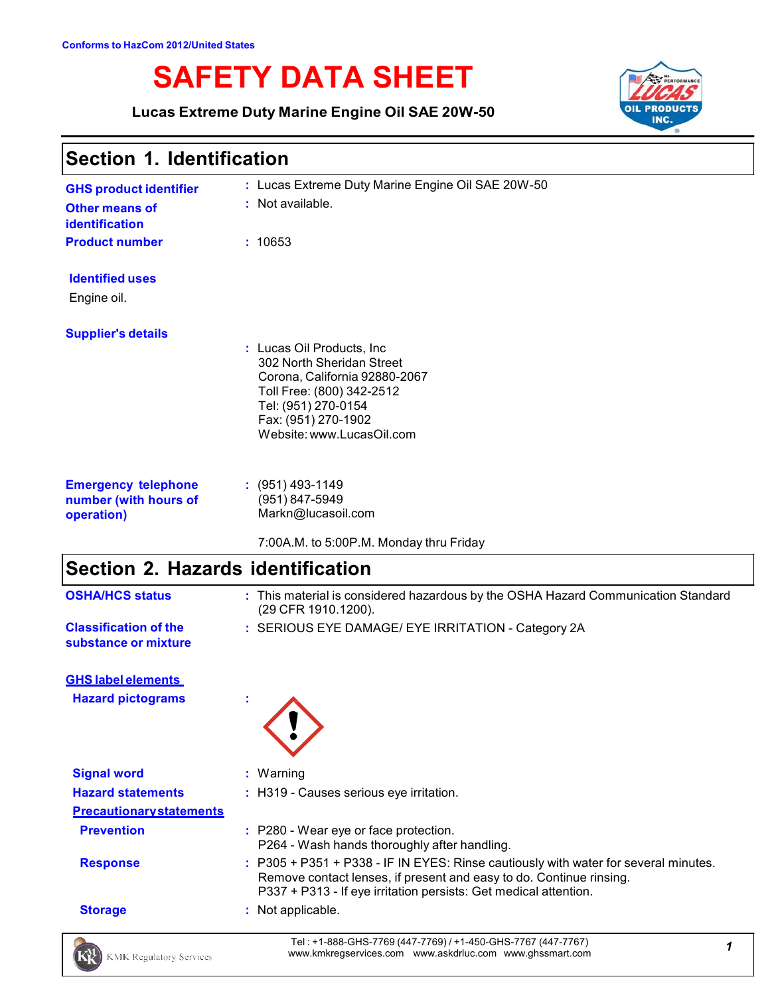# **SAFETY DATA SHEET**

**Lucas Extreme Duty Marine Engine Oil SAE 20W-50**



# **Section 1. Identification**

| <b>GHS product identifier</b><br><b>Other means of</b><br>identification<br><b>Product number</b> | : Lucas Extreme Duty Marine Engine Oil SAE 20W-50<br>: Not available.<br>: 10653                                                                                                                 |
|---------------------------------------------------------------------------------------------------|--------------------------------------------------------------------------------------------------------------------------------------------------------------------------------------------------|
| <b>Identified uses</b><br>Engine oil.                                                             |                                                                                                                                                                                                  |
| <b>Supplier's details</b>                                                                         | : Lucas Oil Products, Inc.<br>302 North Sheridan Street<br>Corona, California 92880-2067<br>Toll Free: (800) 342-2512<br>Tel: (951) 270-0154<br>Fax: (951) 270-1902<br>Website: www.LucasOil.com |
| <b>Emergency telephone</b><br>number (with hours of<br>operation)                                 | $: (951)$ 493-1149<br>(951) 847-5949<br>Markn@lucasoil.com                                                                                                                                       |

7:00A.M. to 5:00P.M. Monday thru Friday

# **Section 2. Hazards identification**

| <b>OSHA/HCS status</b>                               | : This material is considered hazardous by the OSHA Hazard Communication Standard<br>(29 CFR 1910.1200).                                                                                                                       |   |
|------------------------------------------------------|--------------------------------------------------------------------------------------------------------------------------------------------------------------------------------------------------------------------------------|---|
| <b>Classification of the</b><br>substance or mixture | : SERIOUS EYE DAMAGE/ EYE IRRITATION - Category 2A                                                                                                                                                                             |   |
| <b>GHS label elements</b>                            |                                                                                                                                                                                                                                |   |
| <b>Hazard pictograms</b>                             |                                                                                                                                                                                                                                |   |
| <b>Signal word</b>                                   | : Warning                                                                                                                                                                                                                      |   |
| <b>Hazard statements</b>                             | : H319 - Causes serious eye irritation.                                                                                                                                                                                        |   |
| <b>Precautionary statements</b>                      |                                                                                                                                                                                                                                |   |
| <b>Prevention</b>                                    | : P280 - Wear eye or face protection.<br>P264 - Wash hands thoroughly after handling.                                                                                                                                          |   |
| <b>Response</b>                                      | : P305 + P351 + P338 - IF IN EYES: Rinse cautiously with water for several minutes.<br>Remove contact lenses, if present and easy to do. Continue rinsing.<br>P337 + P313 - If eye irritation persists: Get medical attention. |   |
| <b>Storage</b>                                       | : Not applicable.                                                                                                                                                                                                              |   |
| <b>KMK Regulatory Services</b>                       | Tel: +1-888-GHS-7769 (447-7769) / +1-450-GHS-7767 (447-7767)<br>www.kmkregservices.com www.askdrluc.com www.ghssmart.com                                                                                                       | 1 |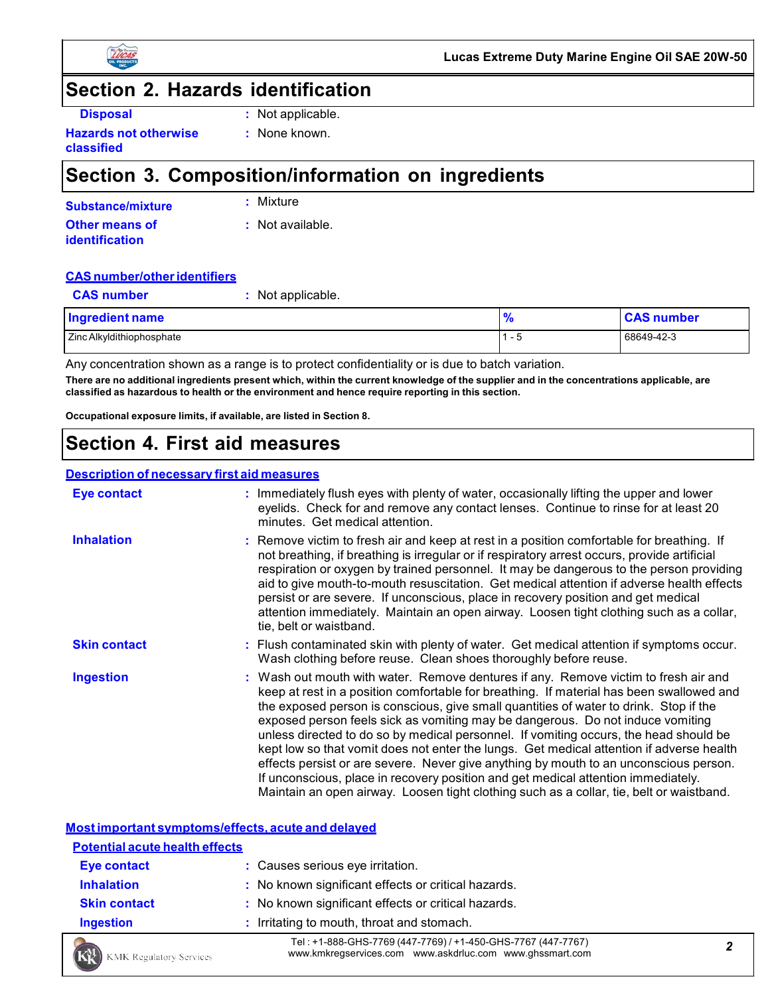



### **Section 2. Hazards identification**

| г |  |
|---|--|
|   |  |

**Disposal :** Not applicable.

**Hazards not otherwise classified**

#### **:** None known.

# **Section 3. Composition/information on ingredients**

| Substance/mixture     | : Mixture          |
|-----------------------|--------------------|
| <b>Other means of</b> | $:$ Not available. |
| <b>identification</b> |                    |

#### **CASnumber/otheridentifiers**

| <b>CAS number</b>         | : Not applicable. |               |                   |
|---------------------------|-------------------|---------------|-------------------|
| Ingredient name           |                   | $\frac{9}{6}$ | <b>CAS number</b> |
| Zinc Alkyldithiophosphate |                   | $1 - 5$       | 68649-42-3        |

Any concentration shown as a range is to protect confidentiality or is due to batch variation. There are no additional ingredients present which, within the current knowledge of the supplier and in the concentrations applicable, are **classified as hazardous to health or the environment and hence require reporting in this section.**

**Occupational exposure limits, if available, are listed in Section 8.**

# **Section 4. First aid measures**

#### **Description of necessary first aid measures**

| Eye contact         | : Immediately flush eyes with plenty of water, occasionally lifting the upper and lower<br>eyelids. Check for and remove any contact lenses. Continue to rinse for at least 20<br>minutes. Get medical attention.                                                                                                                                                                                                                                                                                                                                                                                                                                                                                                                                                                                                         |
|---------------------|---------------------------------------------------------------------------------------------------------------------------------------------------------------------------------------------------------------------------------------------------------------------------------------------------------------------------------------------------------------------------------------------------------------------------------------------------------------------------------------------------------------------------------------------------------------------------------------------------------------------------------------------------------------------------------------------------------------------------------------------------------------------------------------------------------------------------|
| <b>Inhalation</b>   | : Remove victim to fresh air and keep at rest in a position comfortable for breathing. If<br>not breathing, if breathing is irregular or if respiratory arrest occurs, provide artificial<br>respiration or oxygen by trained personnel. It may be dangerous to the person providing<br>aid to give mouth-to-mouth resuscitation. Get medical attention if adverse health effects<br>persist or are severe. If unconscious, place in recovery position and get medical<br>attention immediately. Maintain an open airway. Loosen tight clothing such as a collar,<br>tie, belt or waistband.                                                                                                                                                                                                                              |
| <b>Skin contact</b> | : Flush contaminated skin with plenty of water. Get medical attention if symptoms occur.<br>Wash clothing before reuse. Clean shoes thoroughly before reuse.                                                                                                                                                                                                                                                                                                                                                                                                                                                                                                                                                                                                                                                              |
| <b>Ingestion</b>    | : Wash out mouth with water. Remove dentures if any. Remove victim to fresh air and<br>keep at rest in a position comfortable for breathing. If material has been swallowed and<br>the exposed person is conscious, give small quantities of water to drink. Stop if the<br>exposed person feels sick as vomiting may be dangerous. Do not induce vomiting<br>unless directed to do so by medical personnel. If vomiting occurs, the head should be<br>kept low so that vomit does not enter the lungs. Get medical attention if adverse health<br>effects persist or are severe. Never give anything by mouth to an unconscious person.<br>If unconscious, place in recovery position and get medical attention immediately.<br>Maintain an open airway. Loosen tight clothing such as a collar, tie, belt or waistband. |

#### **Most important symptoms/effects, acute and delayed Potential acute health effects Eye contact :** Causes serious eye irritation. **Inhalation : No known significant effects or critical hazards. Skin contact :** No known significant effects or critical hazards. **Ingestion :** Irritating to mouth, throat and stomach. Tel : +1-888-GHS-7769 (447-7769) / +1-450-GHS-7767 (447-7767) www.kmkregservices.com www.askdrluc.com www.ghssmart.com *<sup>2</sup>* KMK Regulatory Services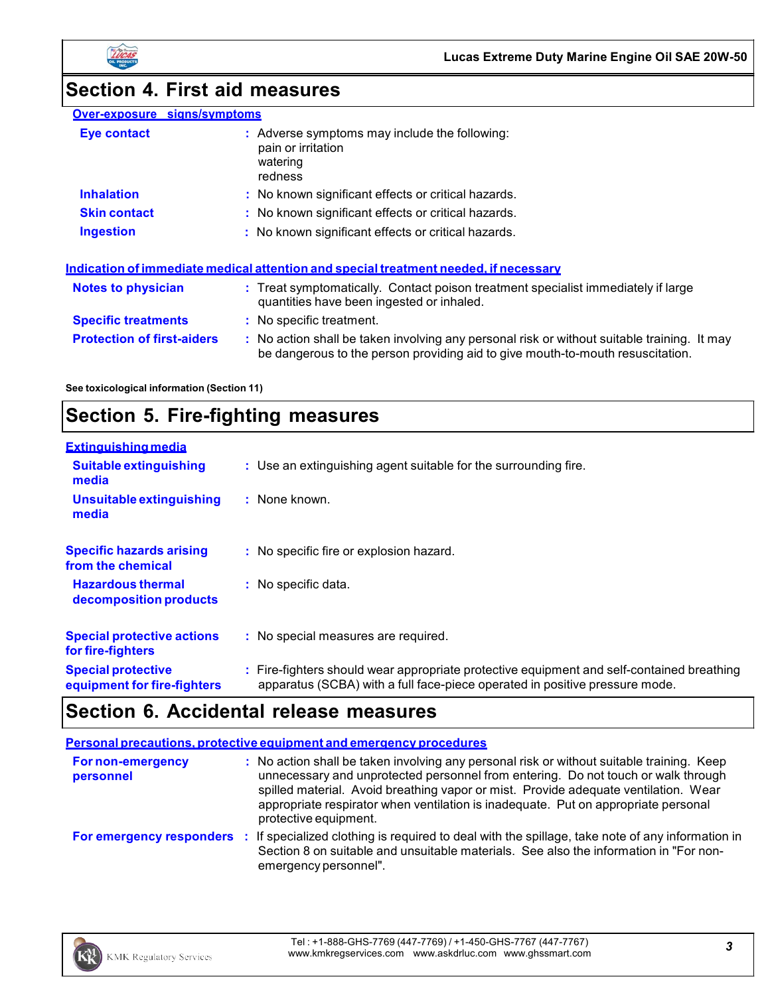



# **Section 4. First aid measures**

| Over-exposure signs/symptoms      |                                                                                                                                                                               |
|-----------------------------------|-------------------------------------------------------------------------------------------------------------------------------------------------------------------------------|
| Eye contact                       | : Adverse symptoms may include the following:<br>pain or irritation<br>watering<br>redness                                                                                    |
| <b>Inhalation</b>                 | : No known significant effects or critical hazards.                                                                                                                           |
| <b>Skin contact</b>               | : No known significant effects or critical hazards.                                                                                                                           |
| <b>Ingestion</b>                  | : No known significant effects or critical hazards.                                                                                                                           |
|                                   | Indication of immediate medical attention and special treatment needed, if necessary                                                                                          |
| <b>Notes to physician</b>         | : Treat symptomatically. Contact poison treatment specialist immediately if large<br>quantities have been ingested or inhaled.                                                |
| <b>Specific treatments</b>        | : No specific treatment.                                                                                                                                                      |
| <b>Protection of first-aiders</b> | : No action shall be taken involving any personal risk or without suitable training. It may<br>be dangerous to the person providing aid to give mouth-to-mouth resuscitation. |

**See toxicological information (Section 11)**

# **Section 5. Fire-fighting measures**

| <b>Extinguishing media</b>                               |                                                                                                                                                                          |
|----------------------------------------------------------|--------------------------------------------------------------------------------------------------------------------------------------------------------------------------|
| <b>Suitable extinguishing</b><br>media                   | : Use an extinguishing agent suitable for the surrounding fire.                                                                                                          |
| Unsuitable extinguishing<br>media                        | $:$ None known.                                                                                                                                                          |
| <b>Specific hazards arising</b><br>from the chemical     | : No specific fire or explosion hazard.                                                                                                                                  |
| <b>Hazardous thermal</b><br>decomposition products       | : No specific data.                                                                                                                                                      |
| <b>Special protective actions</b><br>for fire-fighters   | : No special measures are required.                                                                                                                                      |
| <b>Special protective</b><br>equipment for fire-fighters | : Fire-fighters should wear appropriate protective equipment and self-contained breathing<br>apparatus (SCBA) with a full face-piece operated in positive pressure mode. |

# **Section 6. Accidental release measures**

|                                       | Personal precautions, protective equipment and emergency procedures                                                                                                                                                                                                                                                                                                                  |
|---------------------------------------|--------------------------------------------------------------------------------------------------------------------------------------------------------------------------------------------------------------------------------------------------------------------------------------------------------------------------------------------------------------------------------------|
| <b>For non-emergency</b><br>personnel | : No action shall be taken involving any personal risk or without suitable training. Keep<br>unnecessary and unprotected personnel from entering. Do not touch or walk through<br>spilled material. Avoid breathing vapor or mist. Provide adequate ventilation. Wear<br>appropriate respirator when ventilation is inadequate. Put on appropriate personal<br>protective equipment. |
|                                       | For emergency responders : If specialized clothing is required to deal with the spillage, take note of any information in<br>Section 8 on suitable and unsuitable materials. See also the information in "For non-<br>emergency personnel".                                                                                                                                          |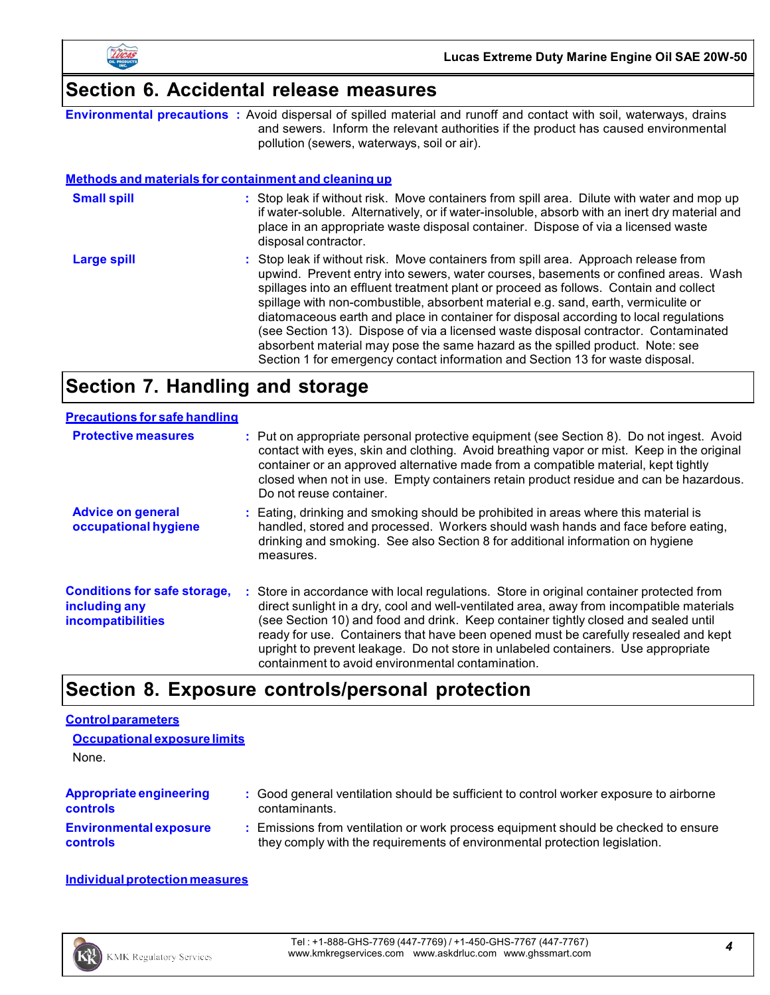

# **Section 6. Accidental release measures**

|                                                              | <b>Environmental precautions</b> : Avoid dispersal of spilled material and runoff and contact with soil, waterways, drains<br>and sewers. Inform the relevant authorities if the product has caused environmental<br>pollution (sewers, waterways, soil or air).                                                                                                                                                                                                                                                                                                                                                                                                                                             |
|--------------------------------------------------------------|--------------------------------------------------------------------------------------------------------------------------------------------------------------------------------------------------------------------------------------------------------------------------------------------------------------------------------------------------------------------------------------------------------------------------------------------------------------------------------------------------------------------------------------------------------------------------------------------------------------------------------------------------------------------------------------------------------------|
| <b>Methods and materials for containment and cleaning up</b> |                                                                                                                                                                                                                                                                                                                                                                                                                                                                                                                                                                                                                                                                                                              |
| <b>Small spill</b>                                           | : Stop leak if without risk. Move containers from spill area. Dilute with water and mop up<br>if water-soluble. Alternatively, or if water-insoluble, absorb with an inert dry material and<br>place in an appropriate waste disposal container. Dispose of via a licensed waste<br>disposal contractor.                                                                                                                                                                                                                                                                                                                                                                                                     |
| <b>Large spill</b>                                           | : Stop leak if without risk. Move containers from spill area. Approach release from<br>upwind. Prevent entry into sewers, water courses, basements or confined areas. Wash<br>spillages into an effluent treatment plant or proceed as follows. Contain and collect<br>spillage with non-combustible, absorbent material e.g. sand, earth, vermiculite or<br>diatomaceous earth and place in container for disposal according to local regulations<br>(see Section 13). Dispose of via a licensed waste disposal contractor. Contaminated<br>absorbent material may pose the same hazard as the spilled product. Note: see<br>Section 1 for emergency contact information and Section 13 for waste disposal. |

# **Section 7. Handling and storage**

| <b>Precautions for safe handling</b>                                             |                                                                                                                                                                                                                                                                                                                                                                                                                                                                                                               |
|----------------------------------------------------------------------------------|---------------------------------------------------------------------------------------------------------------------------------------------------------------------------------------------------------------------------------------------------------------------------------------------------------------------------------------------------------------------------------------------------------------------------------------------------------------------------------------------------------------|
| <b>Protective measures</b>                                                       | : Put on appropriate personal protective equipment (see Section 8). Do not ingest. Avoid<br>contact with eyes, skin and clothing. Avoid breathing vapor or mist. Keep in the original<br>container or an approved alternative made from a compatible material, kept tightly<br>closed when not in use. Empty containers retain product residue and can be hazardous.<br>Do not reuse container.                                                                                                               |
| <b>Advice on general</b><br>occupational hygiene                                 | : Eating, drinking and smoking should be prohibited in areas where this material is<br>handled, stored and processed. Workers should wash hands and face before eating,<br>drinking and smoking. See also Section 8 for additional information on hygiene<br>measures.                                                                                                                                                                                                                                        |
| <b>Conditions for safe storage,</b><br>including any<br><b>incompatibilities</b> | : Store in accordance with local regulations. Store in original container protected from<br>direct sunlight in a dry, cool and well-ventilated area, away from incompatible materials<br>(see Section 10) and food and drink. Keep container tightly closed and sealed until<br>ready for use. Containers that have been opened must be carefully resealed and kept<br>upright to prevent leakage. Do not store in unlabeled containers. Use appropriate<br>containment to avoid environmental contamination. |

# **Section 8. Exposure controls/personal protection**

#### **Controlparameters**

| Occupational exposure limits   |                                                                                        |  |
|--------------------------------|----------------------------------------------------------------------------------------|--|
| None.                          |                                                                                        |  |
| <b>Appropriate engineering</b> | : Good general ventilation should be sufficient to control worker exposure to airborne |  |
| <b>controls</b>                | contaminants.                                                                          |  |
| <b>Environmental exposure</b>  | : Emissions from ventilation or work process equipment should be checked to ensure     |  |
| <b>controls</b>                | they comply with the requirements of environmental protection legislation.             |  |

#### **Individualprotection measures**

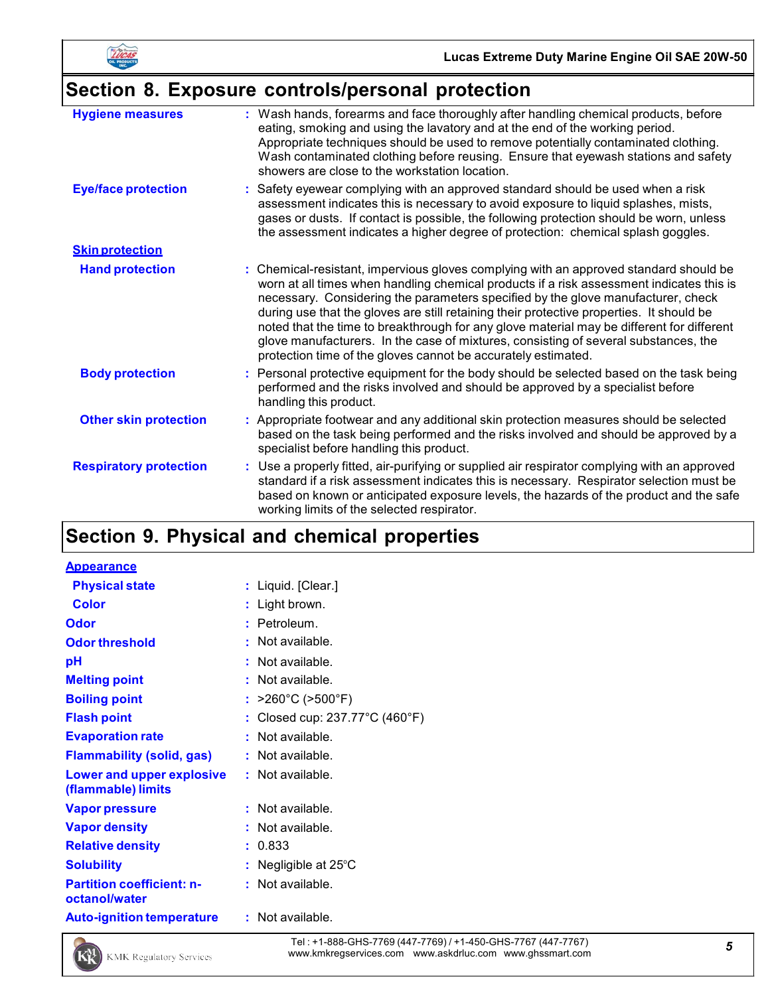

# **Section 8. Exposure controls/personal protection**

| <b>Hygiene measures</b>       | : Wash hands, forearms and face thoroughly after handling chemical products, before<br>eating, smoking and using the lavatory and at the end of the working period.<br>Appropriate techniques should be used to remove potentially contaminated clothing.<br>Wash contaminated clothing before reusing. Ensure that eyewash stations and safety<br>showers are close to the workstation location.                                                                                                                                                                                                                      |
|-------------------------------|------------------------------------------------------------------------------------------------------------------------------------------------------------------------------------------------------------------------------------------------------------------------------------------------------------------------------------------------------------------------------------------------------------------------------------------------------------------------------------------------------------------------------------------------------------------------------------------------------------------------|
| <b>Eye/face protection</b>    | : Safety eyewear complying with an approved standard should be used when a risk<br>assessment indicates this is necessary to avoid exposure to liquid splashes, mists,<br>gases or dusts. If contact is possible, the following protection should be worn, unless<br>the assessment indicates a higher degree of protection: chemical splash goggles.                                                                                                                                                                                                                                                                  |
| <b>Skin protection</b>        |                                                                                                                                                                                                                                                                                                                                                                                                                                                                                                                                                                                                                        |
| <b>Hand protection</b>        | : Chemical-resistant, impervious gloves complying with an approved standard should be<br>worn at all times when handling chemical products if a risk assessment indicates this is<br>necessary. Considering the parameters specified by the glove manufacturer, check<br>during use that the gloves are still retaining their protective properties. It should be<br>noted that the time to breakthrough for any glove material may be different for different<br>glove manufacturers. In the case of mixtures, consisting of several substances, the<br>protection time of the gloves cannot be accurately estimated. |
| <b>Body protection</b>        | : Personal protective equipment for the body should be selected based on the task being<br>performed and the risks involved and should be approved by a specialist before<br>handling this product.                                                                                                                                                                                                                                                                                                                                                                                                                    |
| <b>Other skin protection</b>  | : Appropriate footwear and any additional skin protection measures should be selected<br>based on the task being performed and the risks involved and should be approved by a<br>specialist before handling this product.                                                                                                                                                                                                                                                                                                                                                                                              |
| <b>Respiratory protection</b> | : Use a properly fitted, air-purifying or supplied air respirator complying with an approved<br>standard if a risk assessment indicates this is necessary. Respirator selection must be<br>based on known or anticipated exposure levels, the hazards of the product and the safe<br>working limits of the selected respirator.                                                                                                                                                                                                                                                                                        |

# **Section 9. Physical and chemical properties**

| <b>Appearance</b>                                      |    |                              |
|--------------------------------------------------------|----|------------------------------|
| <b>Physical state</b>                                  |    | : Liquid. [Clear.]           |
| Color                                                  |    | : Light brown.               |
| <b>Odor</b>                                            |    | Petroleum.                   |
| <b>Odor threshold</b>                                  |    | Not available.               |
| рH                                                     |    | Not available.               |
| <b>Melting point</b>                                   |    | Not available.               |
| <b>Boiling point</b>                                   | ÷. | >260°C (>500°F)              |
| <b>Flash point</b>                                     |    | Closed cup: 237.77°C (460°F) |
| <b>Evaporation rate</b>                                |    | Not available.               |
| <b>Flammability (solid, gas)</b>                       |    | Not available.               |
| <b>Lower and upper explosive</b><br>(flammable) limits |    | Not available.               |
| <b>Vapor pressure</b>                                  |    | Not available.               |
| <b>Vapor density</b>                                   |    | Not available.               |
| <b>Relative density</b>                                |    | 0.833                        |
| <b>Solubility</b>                                      |    | Negligible at 25°C           |
| <b>Partition coefficient: n-</b><br>octanol/water      |    | Not available.               |
| <b>Auto-ignition temperature</b>                       |    | : Not available.             |

Tel : +1-888-GHS-7769 (447-7769) / +1-450-GHS-7767 (447-7767) Tel : +1-888-GHS-7769 (447-7769) / +1-450-GHS-7767 (447-7767)<br>www.kmkregservices.com www.askdrluc.com www.ghssmart.com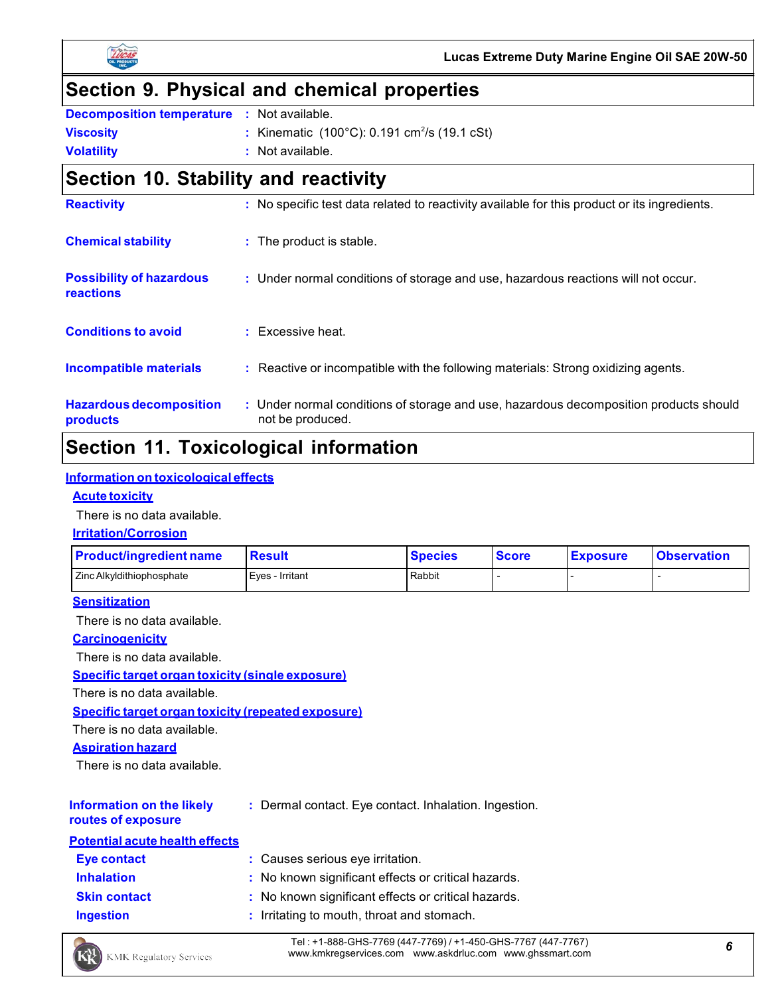



# **Section 9. Physical and chemical properties**

| <b>Decomposition temperature : Not available.</b> |                                                                              |
|---------------------------------------------------|------------------------------------------------------------------------------|
| <b>Viscosity</b>                                  | : Kinematic $(100^{\circ}C)$ : 0.191 cm <sup>2</sup> /s $(19.1 \text{ cSt})$ |
| <b>Volatility</b>                                 | : Not available.                                                             |

# **Section 10. Stability and reactivity**

| <b>Reactivity</b>                                   | : No specific test data related to reactivity available for this product or its ingredients.              |
|-----------------------------------------------------|-----------------------------------------------------------------------------------------------------------|
| <b>Chemical stability</b>                           | : The product is stable.                                                                                  |
| <b>Possibility of hazardous</b><br><b>reactions</b> | : Under normal conditions of storage and use, hazardous reactions will not occur.                         |
| <b>Conditions to avoid</b>                          | $:$ Excessive heat.                                                                                       |
| <b>Incompatible materials</b>                       | : Reactive or incompatible with the following materials: Strong oxidizing agents.                         |
| <b>Hazardous decomposition</b><br>products          | : Under normal conditions of storage and use, hazardous decomposition products should<br>not be produced. |

# **Section 11. Toxicological information**

#### **Information on toxicological effects**

#### **Acute toxicity**

There is no data available.

### **Irritation/Corrosion**

| <b>Product/ingredient name</b> | Result          | <b>Species</b> | <b>Score</b> | <b>Exposure</b> | <b>Observation</b> |
|--------------------------------|-----------------|----------------|--------------|-----------------|--------------------|
| LZinc Alkyldithiophosphate     | Eves - Irritant | Rabbit         |              |                 |                    |

#### **Sensitization**

There is no data available.

#### **Carcinogenicity**

There is no data available.

**Specific target organ toxicity (single exposure)**

There is no data available.

**Specific target organ toxicity (repeated exposure)**

There is no data available.

**Aspiration hazard**

There is no data available.

# **Information on the likely**

**:** Dermal contact. Eye contact. Inhalation. Ingestion.

#### **routes of exposure**

| <b>Potential acute health effects</b> |                                                     |
|---------------------------------------|-----------------------------------------------------|
| Eye contact                           | : Causes serious eye irritation.                    |
| <b>Inhalation</b>                     | : No known significant effects or critical hazards. |
| <b>Skin contact</b>                   | : No known significant effects or critical hazards. |
| <b>Ingestion</b>                      | : Irritating to mouth, throat and stomach.          |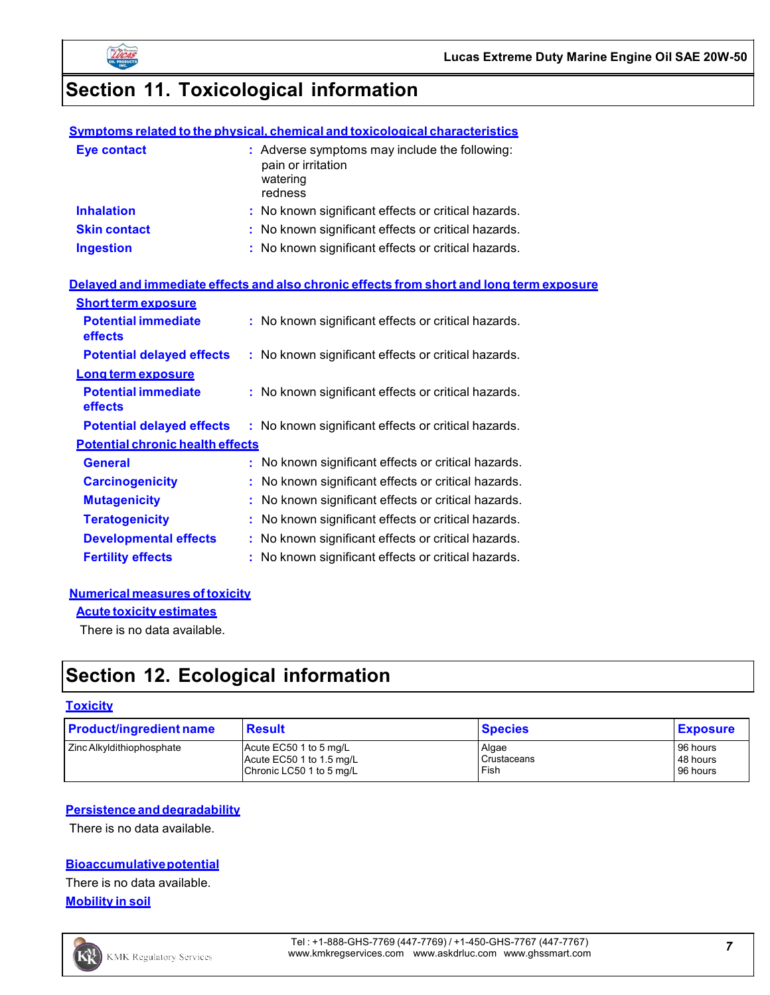

# **Section 11. Toxicological information**

#### **Symptoms related to the physical, chemical and toxicological characteristics**

| <b>Eye contact</b>  | : Adverse symptoms may include the following:<br>pain or irritation<br>watering<br>redness |
|---------------------|--------------------------------------------------------------------------------------------|
| <b>Inhalation</b>   | : No known significant effects or critical hazards.                                        |
| <b>Skin contact</b> | : No known significant effects or critical hazards.                                        |
| <b>Ingestion</b>    | : No known significant effects or critical hazards.                                        |

#### **Delayed and immediate effects and also chronic effects from short and long term exposure**

| <b>Short term exposure</b>              |                                                     |
|-----------------------------------------|-----------------------------------------------------|
| <b>Potential immediate</b><br>effects   | : No known significant effects or critical hazards. |
| <b>Potential delayed effects</b>        | : No known significant effects or critical hazards. |
| Long term exposure                      |                                                     |
| <b>Potential immediate</b><br>effects   | : No known significant effects or critical hazards. |
| <b>Potential delayed effects</b>        | : No known significant effects or critical hazards. |
| <b>Potential chronic health effects</b> |                                                     |
| <b>General</b>                          | : No known significant effects or critical hazards. |
| <b>Carcinogenicity</b>                  | No known significant effects or critical hazards.   |
| <b>Mutagenicity</b>                     | No known significant effects or critical hazards.   |
| <b>Teratogenicity</b>                   | No known significant effects or critical hazards.   |
| <b>Developmental effects</b>            | : No known significant effects or critical hazards. |
| <b>Fertility effects</b>                | : No known significant effects or critical hazards. |

#### **Numerical measures of toxicity**

**Acute toxicity estimates**

There is no data available.

# **Section 12. Ecological information**

#### **Toxicity**

| <b>Product/ingredient name</b> | <b>Result</b>            | <b>Species</b> | <b>Exposure</b> |
|--------------------------------|--------------------------|----------------|-----------------|
| Zinc Alkyldithiophosphate      | Acute EC50 1 to 5 mg/L   | Algae          | 96 hours        |
|                                | Acute EC50 1 to 1.5 mg/L | Crustaceans    | 48 hours        |
|                                | Chronic LC50 1 to 5 mg/L | Fish           | 96 hours        |

#### **Persistence and degradability**

There is no data available.

### **Bioaccumulativepotential**

There is no data available. **Mobility in soil**

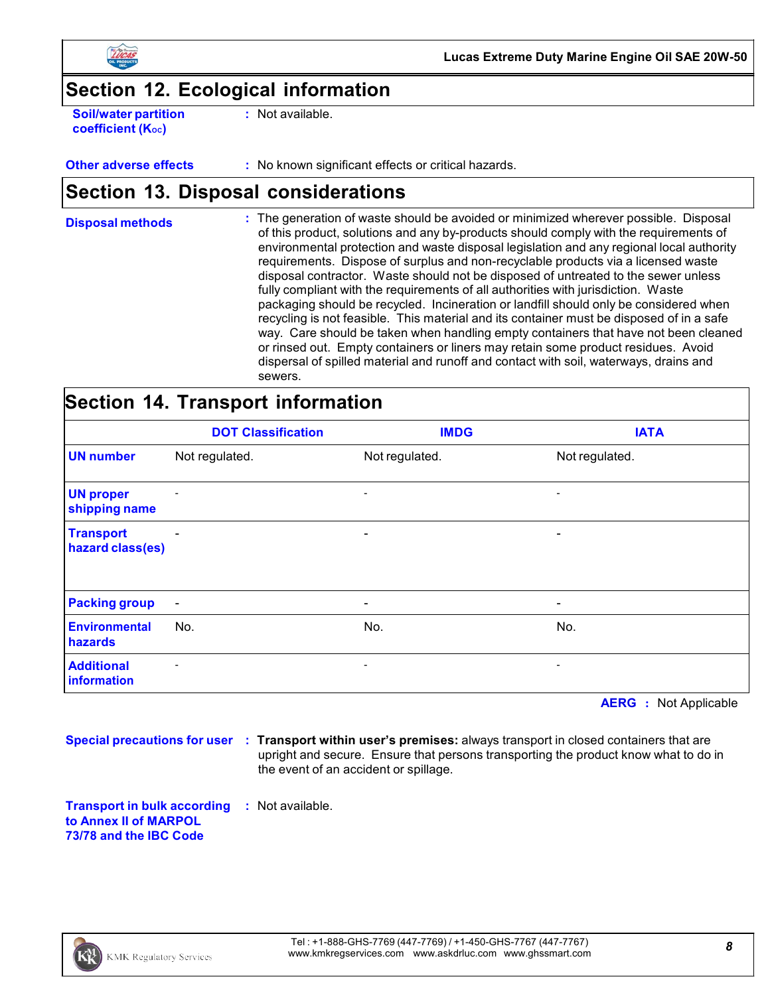

**Lucas Extreme Duty Marine Engine Oil SAE 20W-50**

### **Section 12. Ecological information**

**Soil/water partition coefficient** (K<sub>oc</sub>)

**:** Not available.

**Other adverse effects** : No known significant effects or critical hazards.

# **Section 13. Disposal considerations**

**Disposal methods** : The generation of waste should be avoided or minimized wherever possible. Disposal of this product, solutions and any by-products should comply with the requirements of environmental protection and waste disposal legislation and any regional local authority requirements. Dispose of surplus and non-recyclable products via a licensed waste disposal contractor. Waste should not be disposed of untreated to the sewer unless fully compliant with the requirements of all authorities with jurisdiction. Waste packaging should be recycled. Incineration or landfill should only be considered when recycling is not feasible. This material and its container must be disposed of in a safe way. Care should be taken when handling empty containers that have not been cleaned or rinsed out. Empty containers or liners may retain some product residues. Avoid dispersal of spilled material and runoff and contact with soil, waterways, drains and sewers.

### **Section 14. Transport information**

|                                      | <b>DOT Classification</b> | <b>IMDG</b>              | <b>IATA</b>              |
|--------------------------------------|---------------------------|--------------------------|--------------------------|
| <b>UN</b> number                     | Not regulated.            | Not regulated.           | Not regulated.           |
| <b>UN proper</b><br>shipping name    | $\overline{a}$            | -                        | $\overline{\phantom{a}}$ |
| <b>Transport</b><br>hazard class(es) | $\overline{\phantom{a}}$  | $\overline{\phantom{a}}$ | -                        |
| <b>Packing group</b>                 | $\overline{\phantom{a}}$  | $\overline{\phantom{a}}$ | -                        |
| <b>Environmental</b><br>hazards      | No.                       | No.                      | No.                      |
| <b>Additional</b><br>information     | $\qquad \qquad -$         | $\overline{\phantom{a}}$ | $\overline{\phantom{a}}$ |

**AERG :** Not Applicable

**Special precautions for user : Transport within user's premises:** always transport in closed containers that are upright and secure. Ensure that persons transporting the product know what to do in the event of an accident or spillage.

**Transport in bulk according :** Not available.**to Annex II of MARPOL 73/78 and the IBC Code**

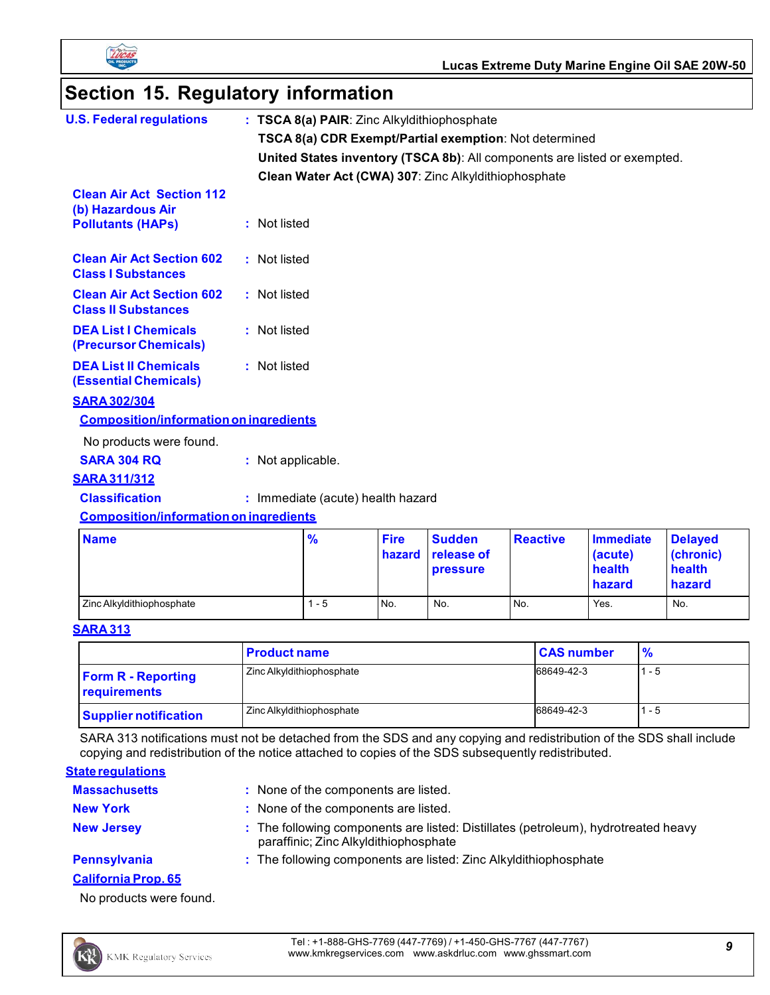

# **Section 15. Regulatory information**

| <b>U.S. Federal regulations</b>                                                   | : TSCA 8(a) PAIR: Zinc Alkyldithiophosphate |                       |                                                        |                 |                                                                           |                                                 |
|-----------------------------------------------------------------------------------|---------------------------------------------|-----------------------|--------------------------------------------------------|-----------------|---------------------------------------------------------------------------|-------------------------------------------------|
|                                                                                   |                                             |                       | TSCA 8(a) CDR Exempt/Partial exemption: Not determined |                 |                                                                           |                                                 |
|                                                                                   |                                             |                       |                                                        |                 | United States inventory (TSCA 8b): All components are listed or exempted. |                                                 |
|                                                                                   |                                             |                       | Clean Water Act (CWA) 307: Zinc Alkyldithiophosphate   |                 |                                                                           |                                                 |
| <b>Clean Air Act Section 112</b><br>(b) Hazardous Air<br><b>Pollutants (HAPs)</b> | : Not listed                                |                       |                                                        |                 |                                                                           |                                                 |
| <b>Clean Air Act Section 602</b><br><b>Class I Substances</b>                     | : Not listed                                |                       |                                                        |                 |                                                                           |                                                 |
| <b>Clean Air Act Section 602</b><br><b>Class II Substances</b>                    | : Not listed                                |                       |                                                        |                 |                                                                           |                                                 |
| <b>DEA List I Chemicals</b><br>(Precursor Chemicals)                              | : Not listed                                |                       |                                                        |                 |                                                                           |                                                 |
| <b>DEA List II Chemicals</b><br>(Essential Chemicals)                             | : Not listed                                |                       |                                                        |                 |                                                                           |                                                 |
| <b>SARA 302/304</b>                                                               |                                             |                       |                                                        |                 |                                                                           |                                                 |
| <b>Composition/information on ingredients</b>                                     |                                             |                       |                                                        |                 |                                                                           |                                                 |
| No products were found.                                                           |                                             |                       |                                                        |                 |                                                                           |                                                 |
| <b>SARA 304 RQ</b>                                                                | : Not applicable.                           |                       |                                                        |                 |                                                                           |                                                 |
| <b>SARA 311/312</b>                                                               |                                             |                       |                                                        |                 |                                                                           |                                                 |
| <b>Classification</b>                                                             | : Immediate (acute) health hazard           |                       |                                                        |                 |                                                                           |                                                 |
| <b>Composition/information on ingredients</b>                                     |                                             |                       |                                                        |                 |                                                                           |                                                 |
| <b>Name</b>                                                                       | %                                           | <b>Fire</b><br>hazard | <b>Sudden</b><br>release of<br>pressure                | <b>Reactive</b> | <b>Immediate</b><br>(acute)<br>health<br>hazard                           | <b>Delayed</b><br>(chronic)<br>health<br>hazard |
| Zinc Alkyldithiophosphate                                                         | $1 - 5$                                     | No.                   | No.                                                    | No.             | Yes.                                                                      | No.                                             |

### **SARA 313**

|                                           | <b>Product name</b>       | <b>CAS number</b> | $\frac{9}{6}$ |
|-------------------------------------------|---------------------------|-------------------|---------------|
| <b>Form R - Reporting</b><br>requirements | Zinc Alkyldithiophosphate | 68649-42-3        | $1 - 5$       |
| <b>Supplier notification</b>              | Zinc Alkyldithiophosphate | 68649-42-3        | $1 - 5$       |

SARA 313 notifications must not be detached from the SDS and any copying and redistribution of the SDS shall include copying and redistribution of the notice attached to copies of the SDS subsequently redistributed.

#### **State regulations**

KX

| <b>Massachusetts</b>       | : None of the components are listed.                                                                                        |
|----------------------------|-----------------------------------------------------------------------------------------------------------------------------|
| <b>New York</b>            | : None of the components are listed.                                                                                        |
| <b>New Jersey</b>          | : The following components are listed: Distillates (petroleum), hydrotreated heavy<br>paraffinic; Zinc Alkyldithiophosphate |
| <b>Pennsylvania</b>        | : The following components are listed: Zinc Alkyldithiophosphate                                                            |
| <b>California Prop. 65</b> |                                                                                                                             |

No products were found.